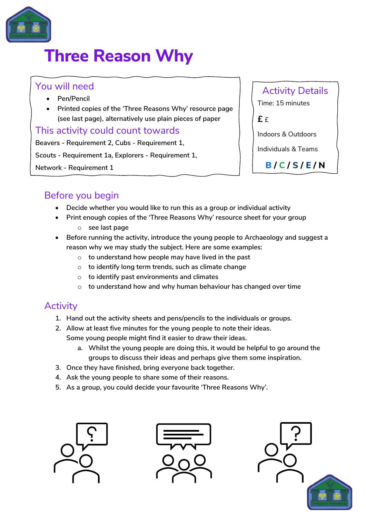

# **Three Reason Why**

#### You will need

- **Pen/Pencil**
- **Printed copies of the 'Three Reasons Why' resource page (see last page), alternatively use plain pieces of paper**

#### This activity could count towards

**Beavers - Requirement 2, Cubs - Requirement 1,** 

**Scouts - Requirement 1a, Explorers - Requirement 1,**

**Network - Requirement 1**

Activity Details

Time: 15 minutes

**£** £

Indoors & Outdoors

Individuals & Teams **B / C / S / E / N**

## Before you begin

- **Decide whether you would like to run this as a group or individual activity**
- **Print enough copies of the 'Three Reasons Why' resource sheet for your group** o **see last page**
- **Before running the activity, introduce the young people to Archaeology and suggest a reason why we may study the subject. Here are some examples:** 
	- o **to understand how people may have lived in the past**
	- o **to identify long term trends, such as climate change**
	- o **to identify past environments and climates**
	- o **to understand how and why human behaviour has changed over time**

### **Activity**

- **1. Hand out the activity sheets and pens/pencils to the individuals or groups.**
- **2. Allow at least five minutes for the young people to note their ideas. Some young people might find it easier to draw their ideas.**
	- **a. Whilst the young people are doing this, it would be helpful to go around the groups to discuss their ideas and perhaps give them some inspiration.**
- **3. Once they have finished, bring everyone back together.**
- **4. Ask the young people to share some of their reasons.**
- **5. As a group, you could decide your favourite 'Three Reasons Why'.**





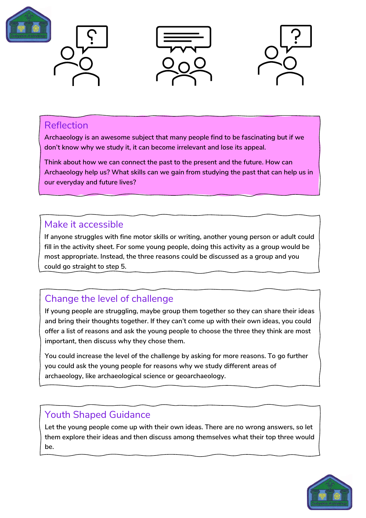







#### Reflection

**Archaeology is an awesome subject that many people find to be fascinating but if we don't know why we study it, it can become irrelevant and lose its appeal.**

**Think about how we can connect the past to the present and the future. How can Archaeology help us? What skills can we gain from studying the past that can help us in our everyday and future lives?** 

#### Make it accessible

**If anyone struggles with fine motor skills or writing, another young person or adult could fill in the activity sheet. For some young people, doing this activity as a group would be most appropriate. Instead, the three reasons could be discussed as a group and you could go straight to step 5.**

# Change the level of challenge

**If young people are struggling, maybe group them together so they can share their ideas and bring their thoughts together. If they can't come up with their own ideas, you could offer a list of reasons and ask the young people to choose the three they think are most important, then discuss why they chose them.** 

**You could increase the level of the challenge by asking for more reasons. To go further you could ask the young people for reasons why we study different areas of archaeology, like archaeological science or geoarchaeology.**

# Youth Shaped Guidance

**Let the young people come up with their own ideas. There are no wrong answers, so let them explore their ideas and then discuss among themselves what their top three would be.**